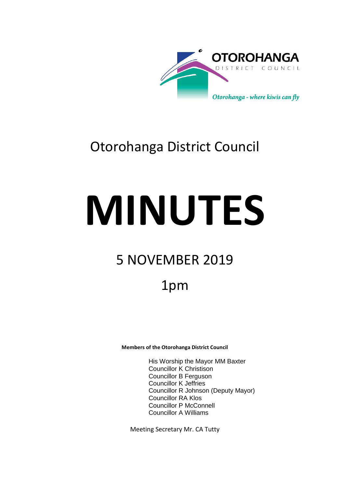

## Otorohanga District Council

# **MINUTES**

# 5 NOVEMBER 2019

## 1pm

**Members of the Otorohanga District Council**

His Worship the Mayor MM Baxter Councillor K Christison Councillor B Ferguson Councillor K Jeffries Councillor R Johnson (Deputy Mayor) Councillor RA Klos Councillor P McConnell Councillor A Williams

Meeting Secretary Mr. CA Tutty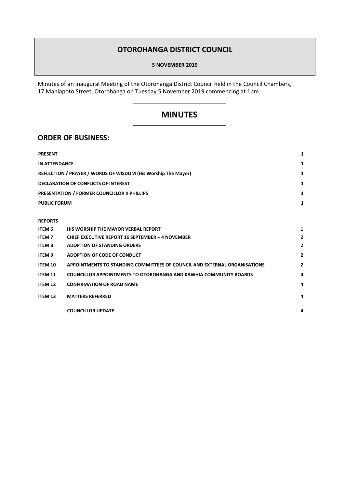### **OTOROHANGA DISTRICT COUNCIL**

#### **5 NOVEMBER 2019**

Minutes of an Inaugural Meeting of the Otorohanga District Council held in the Council Chambers, 17 Maniapoto Street, Otorohanga on Tuesday 5 November 2019 commencing at 1pm.

## **MINUTES**

#### **ORDER OF BUSINESS:**

| <b>PRESENT</b>                                                | 1 |
|---------------------------------------------------------------|---|
| <b>IN ATTENDANCE</b>                                          | 1 |
| REFLECTION / PRAYER / WORDS OF WISDOM (His Worship The Mayor) | 1 |
| <b>DECLARATION OF CONFLICTS OF INTEREST</b>                   | 1 |
| <b>PRESENTATION / FORMER COUNCILLOR K PHILLIPS</b>            | 1 |
| <b>PUBLIC FORUM</b>                                           | 1 |
|                                                               |   |

#### **REPORTS**

| ITEM 6         | HIS WORSHIP THE MAYOR VERBAL REPORT                                       |   |
|----------------|---------------------------------------------------------------------------|---|
| <b>ITEM7</b>   | <b>CHIEF EXECUTIVE REPORT 16 SEPTEMBER - 4 NOVEMBER</b>                   | 2 |
| <b>ITEM 8</b>  | <b>ADOPTION OF STANDING ORDERS</b>                                        | 2 |
| ITEM 9         | ADOPTION OF CODE OF CONDUCT                                               | 2 |
| ITEM 10        | APPOINTMENTS TO STANDING COMMITTEES OF COUNCIL AND EXTERNAL ORGANISATIONS | 2 |
| <b>ITEM 11</b> | <b>COUNCILLOR APPOINTMENTS TO OTOROHANGA AND KAWHIA COMMUNITY BOARDS</b>  | 4 |
| <b>ITEM 12</b> | <b>CONFIRMATION OF ROAD NAME</b>                                          | 4 |
| <b>ITEM 13</b> | <b>MATTERS REFERRED</b>                                                   | 4 |
|                | <b>COUNCILLOR UPDATE</b>                                                  | 4 |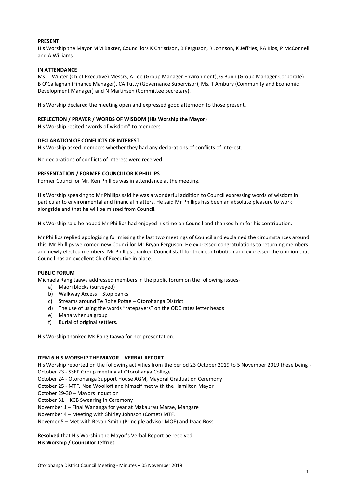#### **PRESENT**

His Worship the Mayor MM Baxter, Councillors K Christison, B Ferguson, R Johnson, K Jeffries, RA Klos, P McConnell and A Williams

#### **IN ATTENDANCE**

Ms. T Winter (Chief Executive) Messrs, A Loe (Group Manager Environment), G Bunn (Group Manager Corporate) B O'Callaghan (Finance Manager), CA Tutty (Governance Supervisor), Ms. T Ambury (Community and Economic Development Manager) and N Martinsen (Committee Secretary).

His Worship declared the meeting open and expressed good afternoon to those present.

#### **REFLECTION / PRAYER / WORDS OF WISDOM (His Worship the Mayor)**

His Worship recited "words of wisdom" to members.

#### **DECLARATION OF CONFLICTS OF INTEREST**

His Worship asked members whether they had any declarations of conflicts of interest.

No declarations of conflicts of interest were received.

#### **PRESENTATION / FORMER COUNCILLOR K PHILLIPS**

Former Councillor Mr. Ken Phillips was in attendance at the meeting.

His Worship speaking to Mr Phillips said he was a wonderful addition to Council expressing words of wisdom in particular to environmental and financial matters. He said Mr Phillips has been an absolute pleasure to work alongside and that he will be missed from Council.

His Worship said he hoped Mr Phillips had enjoyed his time on Council and thanked him for his contribution.

Mr Phillips replied apologising for missing the last two meetings of Council and explained the circumstances around this. Mr Phillips welcomed new Councillor Mr Bryan Ferguson. He expressed congratulations to returning members and newly elected members. Mr Phillips thanked Council staff for their contribution and expressed the opinion that Council has an excellent Chief Executive in place.

#### **PUBLIC FORUM**

Michaela Rangitaawa addressed members in the public forum on the following issues-

- a) Maori blocks (surveyed)
- b) Walkway Access Stop banks
- c) Streams around Te Rohe Potae Otorohanga District
- d) The use of using the words "ratepayers" on the ODC rates letter heads
- e) Mana whenua group
- f) Burial of original settlers.

His Worship thanked Ms Rangitaawa for her presentation.

#### **ITEM 6 HIS WORSHIP THE MAYOR – VERBAL REPORT**

His Worship reported on the following activities from the period 23 October 2019 to 5 November 2019 these being -

October 23 - SSEP Group meeting at Otorohanga College

- October 24 Otorohanga Support House AGM, Mayoral Graduation Ceremony
- October 25 MTFJ Noa Woolloff and himself met with the Hamilton Mayor
- October 29-30 Mayors Induction

October 31 – KCB Swearing in Ceremony

November 1 – Final Wananga for year at Makaurau Marae, Mangare

November 4 – Meeting with Shirley Johnson (Comet) MTFJ

Novemer 5 – Met with Bevan Smith (Principle advisor MOE) and Izaac Boss.

**Resolved** that His Worship the Mayor's Verbal Report be received. **His Worship / Councillor Jeffries**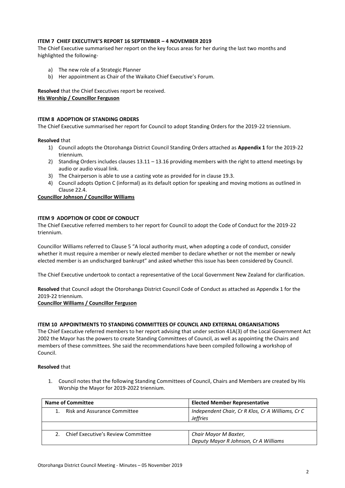#### **ITEM 7 CHIEF EXECUTIVE'S REPORT 16 SEPTEMBER – 4 NOVEMBER 2019**

The Chief Executive summarised her report on the key focus areas for her during the last two months and highlighted the following-

- a) The new role of a Strategic Planner
- b) Her appointment as Chair of the Waikato Chief Executive's Forum.

**Resolved** that the Chief Executives report be received. **His Worship / Councillor Ferguson**

#### **ITEM 8 ADOPTION OF STANDING ORDERS**

The Chief Executive summarised her report for Council to adopt Standing Orders for the 2019-22 triennium.

#### **Resolved** that

- 1) Council adopts the Otorohanga District Council Standing Orders attached as **Appendix 1** for the 2019-22 triennium.
- 2) Standing Orders includes clauses 13.11 13.16 providing members with the right to attend meetings by audio or audio visual link.
- 3) The Chairperson is able to use a casting vote as provided for in clause 19.3.
- 4) Council adopts Option C (informal) as its default option for speaking and moving motions as outlined in Clause 22.4.

#### **Councillor Johnson / Councillor Williams**

#### **ITEM 9 ADOPTION OF CODE OF CONDUCT**

The Chief Executive referred members to her report for Council to adopt the Code of Conduct for the 2019-22 triennium.

Councillor Williams referred to Clause 5 "A local authority must, when adopting a code of conduct, consider whether it must require a member or newly elected member to declare whether or not the member or newly elected member is an undischarged bankrupt" and asked whether this issue has been considered by Council.

The Chief Executive undertook to contact a representative of the Local Government New Zealand for clarification.

**Resolved** that Council adopt the Otorohanga District Council Code of Conduct as attached as Appendix 1 for the 2019-22 triennium.

**Councillor Williams / Councillor Ferguson**

#### **ITEM 10 APPOINTMENTS TO STANDING COMMITTEES OF COUNCIL AND EXTERNAL ORGANISATIONS**

The Chief Executive referred members to her report advising that under section 41A(3) of the Local Government Act 2002 the Mayor has the powers to create Standing Committees of Council, as well as appointing the Chairs and members of these committees. She said the recommendations have been compiled following a workshop of Council.

#### **Resolved** that

1. Council notes that the following Standing Committees of Council, Chairs and Members are created by His Worship the Mayor for 2019-2022 triennium.

| <b>Name of Committee</b>                            | <b>Elected Member Representative</b>                                 |
|-----------------------------------------------------|----------------------------------------------------------------------|
| <b>Risk and Assurance Committee</b>                 | Independent Chair, Cr R Klos, Cr A Williams, Cr C<br><b>Jeffries</b> |
|                                                     |                                                                      |
| Chief Executive's Review Committee<br>$\mathcal{P}$ | Chair Mayor M Baxter,<br>Deputy Mayor R Johnson, Cr A Williams       |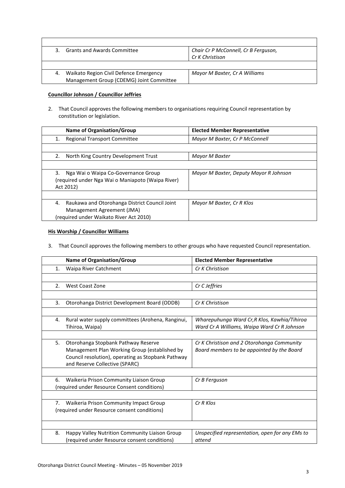| २  | <b>Grants and Awards Committee</b>       | Chair Cr P McConnell, Cr B Ferguson, |
|----|------------------------------------------|--------------------------------------|
|    |                                          | Cr K Christison                      |
|    |                                          |                                      |
| 4. | Waikato Region Civil Defence Emergency   | Mayor M Baxter, Cr A Williams        |
|    | Management Group (CDEMG) Joint Committee |                                      |

#### **Councillor Johnson / Councillor Jeffries**

 $\mathsf{r}$ 

2. That Council approves the following members to organisations requiring Council representation by constitution or legislation.

| <b>Name of Organisation/Group</b>                                                                                            | <b>Elected Member Representative</b>   |
|------------------------------------------------------------------------------------------------------------------------------|----------------------------------------|
| <b>Regional Transport Committee</b><br>1.                                                                                    | Mayor M Baxter, Cr P McConnell         |
|                                                                                                                              |                                        |
| North King Country Development Trust<br>2.                                                                                   | Mayor M Baxter                         |
|                                                                                                                              |                                        |
| 3.<br>Nga Wai o Waipa Co-Governance Group<br>(required under Nga Wai o Maniapoto (Waipa River)<br>Act 2012)                  | Mayor M Baxter, Deputy Mayor R Johnson |
|                                                                                                                              |                                        |
| Raukawa and Otorohanga District Council Joint<br>4.<br>Management Agreement (JMA)<br>(required under Waikato River Act 2010) | Mayor M Baxter, Cr R Klos              |

#### **His Worship / Councillor Williams**

3. That Council approves the following members to other groups who have requested Council representation.

|    | Name of Organisation/Group                                                           | <b>Elected Member Representative</b>                                                     |
|----|--------------------------------------------------------------------------------------|------------------------------------------------------------------------------------------|
| 1. | Waipa River Catchment                                                                | Cr K Christison                                                                          |
|    |                                                                                      |                                                                                          |
| 2. | West Coast Zone                                                                      | Cr C Jeffries                                                                            |
|    |                                                                                      |                                                                                          |
| 3. | Otorohanga District Development Board (ODDB)                                         | Cr K Christison                                                                          |
|    |                                                                                      |                                                                                          |
| 4. | Rural water supply committees (Arohena, Ranginui,                                    | Wharepuhunga Ward Cr,R Klos, Kawhia/Tihiroa                                              |
|    | Tihiroa, Waipa)                                                                      | Ward Cr A Williams, Waipa Ward Cr R Johnson                                              |
|    |                                                                                      |                                                                                          |
| 5. | Otorohanga Stopbank Pathway Reserve<br>Management Plan Working Group (established by | Cr K Christison and 2 Otorohanga Community<br>Board members to be appointed by the Board |
|    | Council resolution), operating as Stopbank Pathway                                   |                                                                                          |
|    | and Reserve Collective (SPARC)                                                       |                                                                                          |
|    |                                                                                      |                                                                                          |
| 6. | Waikeria Prison Community Liaison Group                                              | Cr B Ferguson                                                                            |
|    | (required under Resource Consent conditions)                                         |                                                                                          |
|    |                                                                                      |                                                                                          |
|    | 7. Waikeria Prison Community Impact Group                                            | $CrR$ Klos                                                                               |
|    | (required under Resource consent conditions)                                         |                                                                                          |
|    |                                                                                      |                                                                                          |
| 8. | Happy Valley Nutrition Community Liaison Group                                       | Unspecified representation, open for any EMs to                                          |
|    | (required under Resource consent conditions)                                         | attend                                                                                   |
|    |                                                                                      |                                                                                          |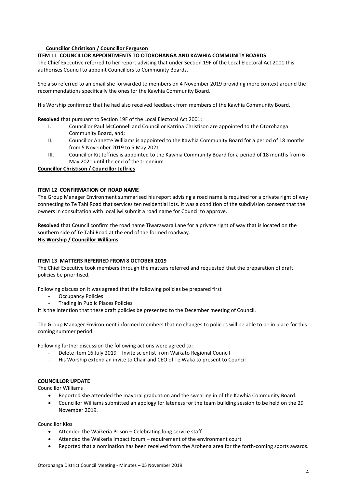#### **Councillor Christison / Councillor Ferguson**

#### **ITEM 11 COUNCILLOR APPOINTMENTS TO OTOROHANGA AND KAWHIA COMMUNITY BOARDS**

The Chief Executive referred to her report advising that under Section 19F of the Local Electoral Act 2001 this authorises Council to appoint Councillors to Community Boards.

She also referred to an email she forwarded to members on 4 November 2019 providing more context around the recommendations specifically the ones for the Kawhia Community Board.

His Worship confirmed that he had also received feedback from members of the Kawhia Community Board.

**Resolved** that pursuant to Section 19F of the Local Electoral Act 2001;

- I. Councillor Paul McConnell and Councillor Katrina Christison are appointed to the Otorohanga Community Board, and;
- II. Councillor Annette Williams is appointed to the Kawhia Community Board for a period of 18 months from 5 November 2019 to 5 May 2021.
- III. Councillor Kit Jeffries is appointed to the Kawhia Community Board for a period of 18 months from 6 May 2021 until the end of the triennium.

#### **Councillor Christison / Councillor Jeffries**

#### **ITEM 12 CONFIRMATION OF ROAD NAME**

The Group Manager Environment summarised his report advising a road name is required for a private right of way connecting to Te Tahi Road that services ten residential lots. It was a condition of the subdivision consent that the owners in consultation with local iwi submit a road name for Council to approve.

**Resolved** that Council confirm the road name Tiwarawara Lane for a private right of way that is located on the southern side of Te Tahi Road at the end of the formed roadway. **His Worship / Councillor Williams**

#### **ITEM 13 MATTERS REFERRED FROM 8 OCTOBER 2019**

The Chief Executive took members through the matters referred and requested that the preparation of draft policies be prioritised.

Following discussion it was agreed that the following policies be prepared first

- Occupancy Policies
- Trading in Public Places Policies

It is the intention that these draft policies be presented to the December meeting of Council.

The Group Manager Environment informed members that no changes to policies will be able to be in place for this coming summer period.

Following further discussion the following actions were agreed to;

- Delete item 16 July 2019 Invite scientist from Waikato Regional Council
- His Worship extend an invite to Chair and CEO of Te Waka to present to Council

#### **COUNCILLOR UPDATE**

Councillor Williams

- Reported she attended the mayoral graduation and the swearing in of the Kawhia Community Board.
- Councillor Williams submitted an apology for lateness for the team building session to be held on the 29 November 2019.

Councillor Klos

- Attended the Waikeria Prison Celebrating long service staff
- Attended the Waikeria impact forum requirement of the environment court
- Reported that a nomination has been received from the Arohena area for the forth-coming sports awards.